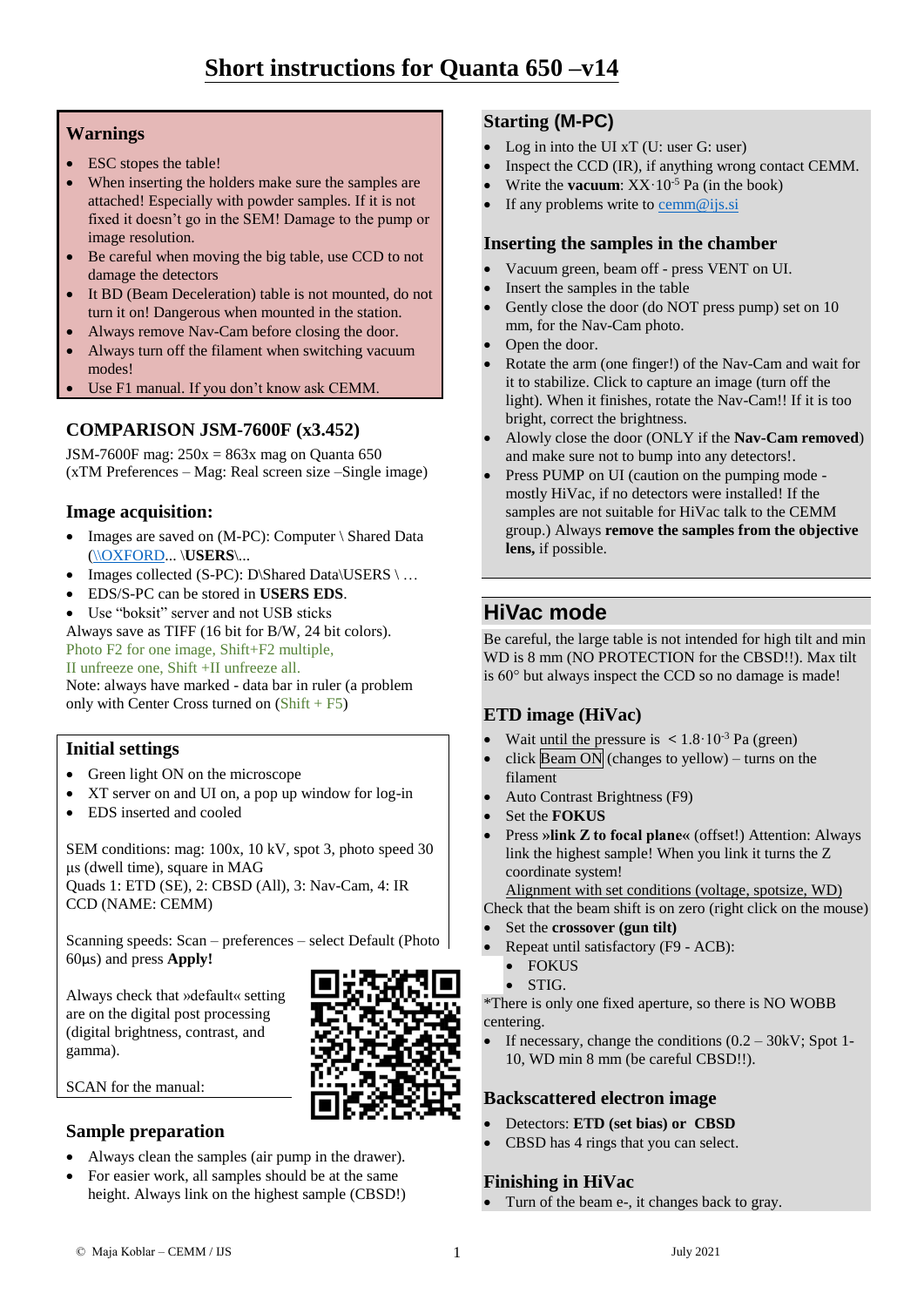## **Warnings**

- ESC stopes the table!
- When inserting the holders make sure the samples are attached! Especially with powder samples. If it is not fixed it doesn't go in the SEM! Damage to the pump or image resolution.
- Be careful when moving the big table, use CCD to not damage the detectors
- It BD (Beam Deceleration) table is not mounted, do not turn it on! Dangerous when mounted in the station.
- Always remove Nav-Cam before closing the door.
- Always turn off the filament when switching vacuum modes!
- Use F1 manual. If you don't know ask CEMM.

## **COMPARISON JSM-7600F (x3.452)**

JSM-7600F mag:  $250x = 863x$  mag on Quanta 650 (xTM Preferences – Mag: Real screen size –Single image)

## **Image acquisition:**

- Images are saved on (M-PC): Computer \ Shared Data [\(\\OXFORD..](file://///OXFORD). \**USERS**\...
- Images collected (S-PC): D\Shared Data\USERS \ ...
- EDS/S-PC can be stored in **USERS EDS**.
- Use "boksit" server and not USB sticks

Always save as TIFF (16 bit for B/W, 24 bit colors). Photo F2 for one image, Shift+F2 multiple,

II unfreeze one, Shift +II unfreeze all.

Note: always have marked - data bar in ruler (a problem only with Center Cross turned on  $(Shift + F5)$ 

## **Initial settings**

Green light ON on the microscope

Always check that »default« setting are on the digital post processing (digital brightness, contrast, and

- XT server on and UI on, a pop up window for log-in
- EDS inserted and cooled

SEM conditions: mag: 100x, 10 kV, spot 3, photo speed 30 μs (dwell time), square in MAG Quads 1: ETD (SE), 2: CBSD (All), 3: Nav-Cam, 4: IR CCD (NAME: CEMM)

Scanning speeds: Scan – preferences – select Default (Photo 60μs) and press **Apply!**

SCAN for the manual:

gamma).

## **Sample preparation**

- Always clean the samples (air pump in the drawer).
- For easier work, all samples should be at the same height. Always link on the highest sample (CBSD!)

## **Starting (M-PC)**

- Log in into the UI xT (U: user G: user)
- Inspect the CCD (IR), if anything wrong contact CEMM.
- Write the **vacuum**: XX·10<sup>-5</sup> Pa (in the book)
- If any problems write to [cemm@ijs.si](mailto:cemm@ijs.si)

#### **Inserting the samples in the chamber**

- Vacuum green, beam off press VENT on UI.
- Insert the samples in the table
- Gently close the door (do NOT press pump) set on 10 mm, for the Nav-Cam photo.
- Open the door.
- Rotate the arm (one finger!) of the Nav-Cam and wait for it to stabilize. Click to capture an image (turn off the light). When it finishes, rotate the Nav-Cam!! If it is too bright, correct the brightness.
- Alowly close the door (ONLY if the **Nav-Cam removed**) and make sure not to bump into any detectors!.
- Press PUMP on UI (caution on the pumping mode mostly HiVac, if no detectors were installed! If the samples are not suitable for HiVac talk to the CEMM group.) Always **remove the samples from the objective lens,** if possible.

# **HiVac mode**

Be careful, the large table is not intended for high tilt and min WD is 8 mm (NO PROTECTION for the CBSD!!). Max tilt is 60° but always inspect the CCD so no damage is made!

## **ETD image (HiVac)**

- Wait until the pressure is  $\langle 1.8 \cdot 10^{-3} \text{ Pa (green)} \rangle$
- click  $\text{Beam ON}$  (changes to yellow) turns on the filament
- Auto Contrast Brightness (F9)
- Set the **FOKUS**
- Press **»link Z to focal plane«** (offset!) Attention: Always link the highest sample! When you link it turns the Z coordinate system!

Alignment with set conditions (voltage, spotsize, WD)

Check that the beam shift is on zero (right click on the mouse)

- Set the **crossover (gun tilt)**
- Repeat until satisfactory (F9 ACB):
- FOKUS
	- STIG.

\*There is only one fixed aperture, so there is NO WOBB centering.

 If necessary, change the conditions (0.2 – 30kV; Spot 1- 10, WD min 8 mm (be careful CBSD!!).

## **Backscattered electron image**

- Detectors: **ETD (set bias) or CBSD**
- CBSD has 4 rings that you can select.

## **Finishing in HiVac**

• Turn of the beam e-, it changes back to gray.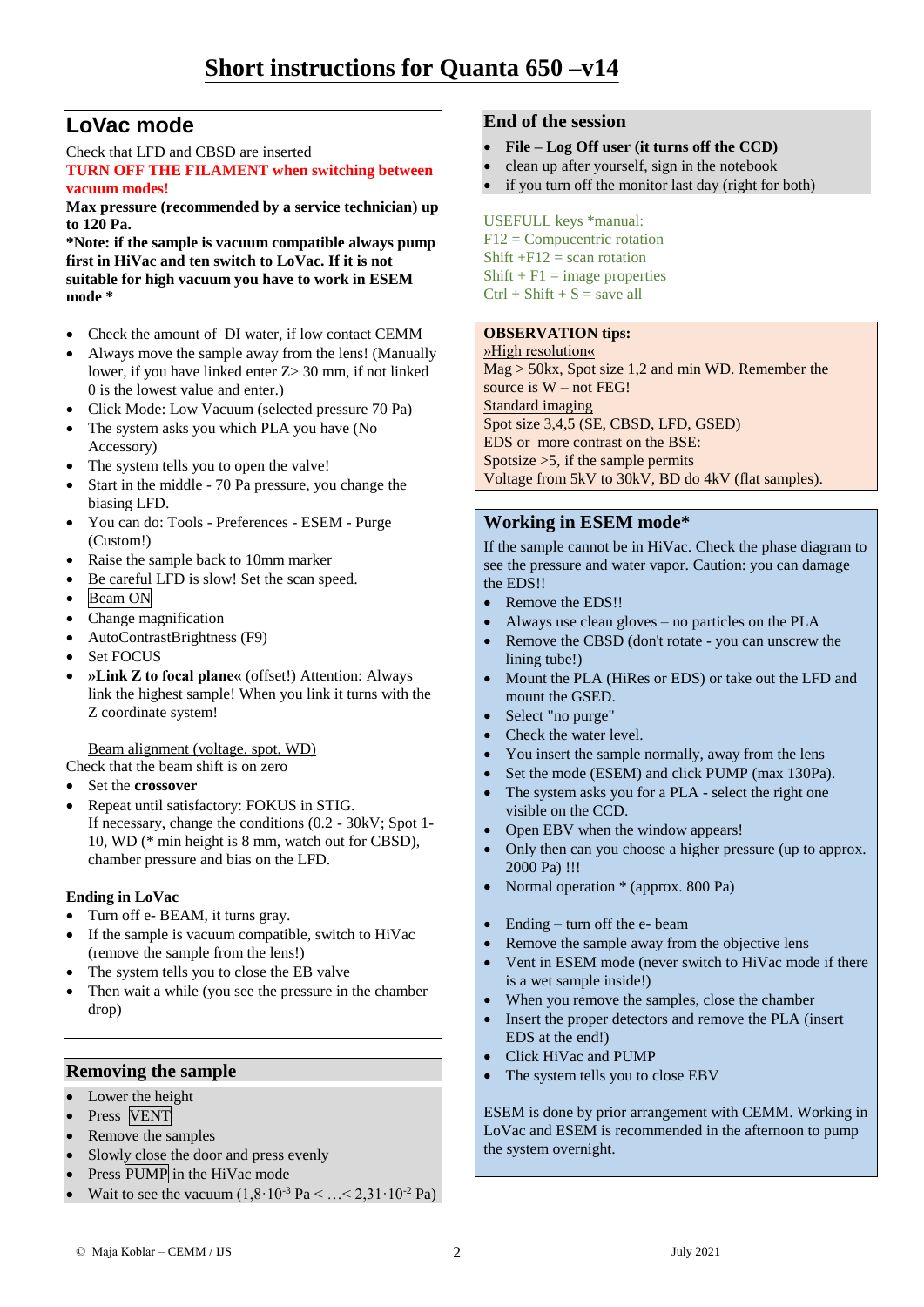# **LoVac mode**

Check that LFD and CBSD are inserted **TURN OFF THE FILAMENT when switching between** 

**vacuum modes! Max pressure (recommended by a service technician) up to 120 Pa.**

**\*Note: if the sample is vacuum compatible always pump first in HiVac and ten switch to LoVac. If it is not suitable for high vacuum you have to work in ESEM mode \***

- Check the amount of DI water, if low contact CEMM
- Always move the sample away from the lens! (Manually lower, if you have linked enter Z> 30 mm, if not linked 0 is the lowest value and enter.)
- Click Mode: Low Vacuum (selected pressure 70 Pa)
- The system asks you which PLA you have (No Accessory)
- The system tells you to open the valve!
- Start in the middle 70 Pa pressure, you change the biasing LFD.
- You can do: Tools Preferences ESEM Purge (Custom!)
- Raise the sample back to 10mm marker
- Be careful LFD is slow! Set the scan speed.
- Beam ON
- Change magnification
- AutoContrastBrightness (F9)
- Set FOCUS
- **»Link Z to focal plane«** (offset!) Attention: Always link the highest sample! When you link it turns with the Z coordinate system!

Beam alignment (voltage, spot, WD) Check that the beam shift is on zero

- Set the **crossover**
- Repeat until satisfactory: FOKUS in STIG. If necessary, change the conditions (0.2 - 30kV; Spot 1- 10, WD (\* min height is 8 mm, watch out for CBSD), chamber pressure and bias on the LFD.

#### **Ending in LoVac**

- Turn off e- BEAM, it turns gray.
- If the sample is vacuum compatible, switch to HiVac (remove the sample from the lens!)
- The system tells you to close the EB valve
- Then wait a while (you see the pressure in the chamber drop)

#### **Removing the sample**

- Lower the height
- Press VENT
- Remove the samples
- Slowly close the door and press evenly
- Press PUMP in the HiVac mode
- Wait to see the vacuum  $(1,8.10^{-3} \text{ Pa} < ... < 2,31.10^{-2} \text{ Pa})$

#### **End of the session**

- **File – Log Off user (it turns off the CCD)**
- clean up after yourself, sign in the notebook
- if you turn off the monitor last day (right for both)

#### USEFULL keys \*manual: F12 = Compucentric rotation Shift  $+F12$  = scan rotation  $Shift + F1 = image properties$  $Ctrl + Shift + S = save all$

#### **OBSERVATION tips:**

»High resolution« Mag > 50kx, Spot size 1,2 and min WD. Remember the source is  $W$  – not FEG! Standard imaging Spot size 3,4,5 (SE, CBSD, LFD, GSED) EDS or more contrast on the BSE: Spotsize  $>5$ , if the sample permits Voltage from 5kV to 30kV, BD do 4kV (flat samples).

#### **Working in ESEM mode\***

If the sample cannot be in HiVac. Check the phase diagram to see the pressure and water vapor. Caution: you can damage the EDS!!

- Remove the EDS!!
- Always use clean gloves no particles on the PLA
- Remove the CBSD (don't rotate you can unscrew the lining tube!)
- Mount the PLA (HiRes or EDS) or take out the LFD and mount the GSED.
- Select "no purge"
- Check the water level.
- You insert the sample normally, away from the lens
- Set the mode (ESEM) and click PUMP (max 130Pa).
- The system asks you for a PLA select the right one visible on the CCD.
- Open EBV when the window appears!
- Only then can you choose a higher pressure (up to approx. 2000 Pa) !!!
- Normal operation \* (approx. 800 Pa)
- Ending turn off the e- beam
- Remove the sample away from the objective lens
- Vent in ESEM mode (never switch to HiVac mode if there is a wet sample inside!)
- When you remove the samples, close the chamber
- Insert the proper detectors and remove the PLA (insert EDS at the end!)
- Click HiVac and PUMP
- The system tells you to close EBV

ESEM is done by prior arrangement with CEMM. Working in LoVac and ESEM is recommended in the afternoon to pump the system overnight.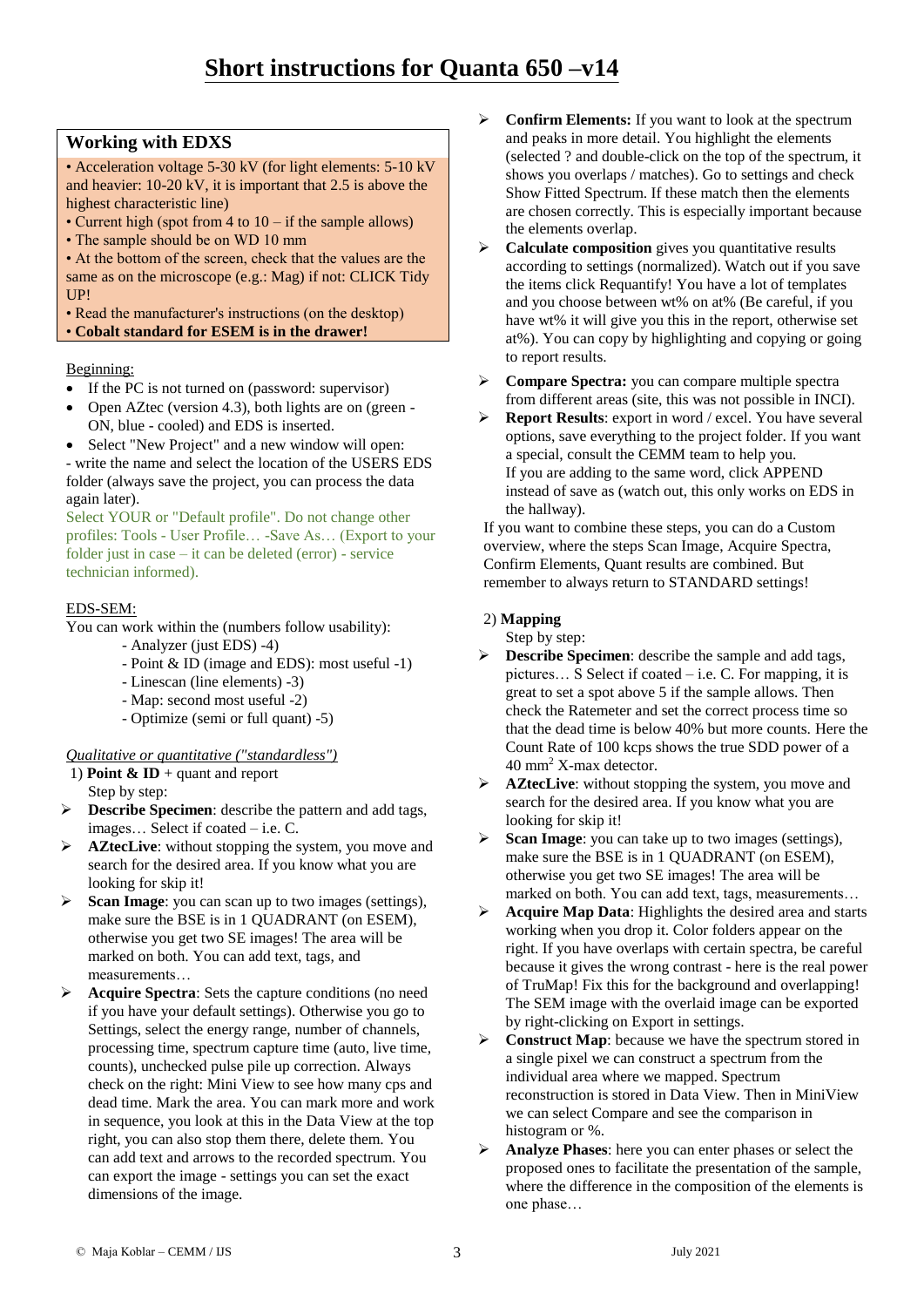## **Working with EDXS**

• Acceleration voltage 5-30 kV (for light elements: 5-10 kV and heavier: 10-20 kV, it is important that 2.5 is above the highest characteristic line)

- Current high (spot from 4 to 10 if the sample allows)
- The sample should be on WD 10 mm

• At the bottom of the screen, check that the values are the same as on the microscope (e.g.: Mag) if not: CLICK Tidy UP!

• Read the manufacturer's instructions (on the desktop) • **Cobalt standard for ESEM is in the drawer!**

#### Beginning:

- If the PC is not turned on (password: supervisor)
- Open AZtec (version 4.3), both lights are on (green ON, blue - cooled) and EDS is inserted.
- Select "New Project" and a new window will open: - write the name and select the location of the USERS EDS folder (always save the project, you can process the data again later).

Select YOUR or "Default profile". Do not change other profiles: Tools - User Profile… -Save As… (Export to your folder just in case – it can be deleted (error) - service technician informed).

#### EDS-SEM:

You can work within the (numbers follow usability):

- Analyzer (just EDS) -4)
- Point & ID (image and EDS): most useful -1)
- Linescan (line elements) -3)
- Map: second most useful -2)
- Optimize (semi or full quant) -5)

#### *Qualitative or quantitative ("standardless")*

- 1) **Point & ID** + quant and report Step by step:
- **Describe Specimen**: describe the pattern and add tags, images… Select if coated – i.e. C.
- **AZtecLive:** without stopping the system, you move and search for the desired area. If you know what you are looking for skip it!
- **Scan Image**: you can scan up to two images (settings), make sure the BSE is in 1 QUADRANT (on ESEM), otherwise you get two SE images! The area will be marked on both. You can add text, tags, and measurements…
- **Acquire Spectra**: Sets the capture conditions (no need if you have your default settings). Otherwise you go to Settings, select the energy range, number of channels, processing time, spectrum capture time (auto, live time, counts), unchecked pulse pile up correction. Always check on the right: Mini View to see how many cps and dead time. Mark the area. You can mark more and work in sequence, you look at this in the Data View at the top right, you can also stop them there, delete them. You can add text and arrows to the recorded spectrum. You can export the image - settings you can set the exact dimensions of the image.
- **EXECUTE:** Confirm Elements: If you want to look at the spectrum and peaks in more detail. You highlight the elements (selected ? and double-click on the top of the spectrum, it shows you overlaps / matches). Go to settings and check Show Fitted Spectrum. If these match then the elements are chosen correctly. This is especially important because the elements overlap.
- **Calculate composition** gives you quantitative results according to settings (normalized). Watch out if you save the items click Requantify! You have a lot of templates and you choose between wt% on at% (Be careful, if you have wt% it will give you this in the report, otherwise set at%). You can copy by highlighting and copying or going to report results.
- **Compare Spectra:** you can compare multiple spectra from different areas (site, this was not possible in INCI).
- **Report Results**: export in word / excel. You have several options, save everything to the project folder. If you want a special, consult the CEMM team to help you. If you are adding to the same word, click APPEND instead of save as (watch out, this only works on EDS in the hallway).

If you want to combine these steps, you can do a Custom overview, where the steps Scan Image, Acquire Spectra, Confirm Elements, Quant results are combined. But remember to always return to STANDARD settings!

#### 2) **Mapping**

Step by step:

- **Describe Specimen**: describe the sample and add tags, pictures… S Select if coated – i.e. C. For mapping, it is great to set a spot above 5 if the sample allows. Then check the Ratemeter and set the correct process time so that the dead time is below 40% but more counts. Here the Count Rate of 100 kcps shows the true SDD power of a 40 mm<sup>2</sup> X-max detector.
- **AZtecLive:** without stopping the system, you move and search for the desired area. If you know what you are looking for skip it!
- **Scan Image**: you can take up to two images (settings), make sure the BSE is in 1 QUADRANT (on ESEM), otherwise you get two SE images! The area will be marked on both. You can add text, tags, measurements…
- **Acquire Map Data**: Highlights the desired area and starts working when you drop it. Color folders appear on the right. If you have overlaps with certain spectra, be careful because it gives the wrong contrast - here is the real power of TruMap! Fix this for the background and overlapping! The SEM image with the overlaid image can be exported by right-clicking on Export in settings.
- **EXECONSTRUCT Map:** because we have the spectrum stored in a single pixel we can construct a spectrum from the individual area where we mapped. Spectrum reconstruction is stored in Data View. Then in MiniView we can select Compare and see the comparison in histogram or %.
- **Analyze Phases**: here you can enter phases or select the proposed ones to facilitate the presentation of the sample, where the difference in the composition of the elements is one phase…